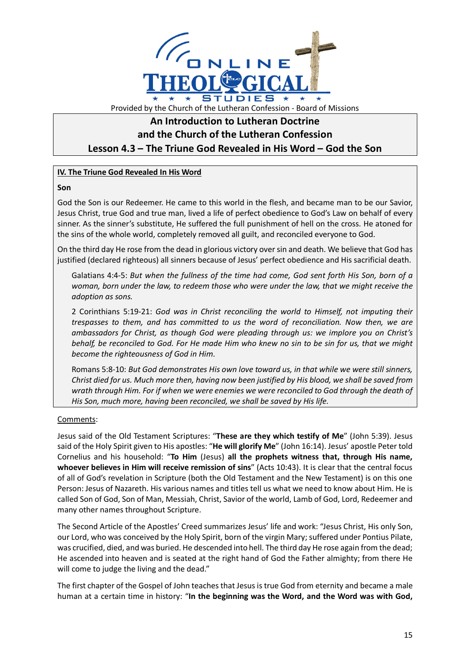

# **An Introduction to Lutheran Doctrine and the Church of the Lutheran Confession Lesson 4.3 – The Triune God Revealed in His Word – God the Son**

# **IV. The Triune God Revealed In His Word**

### **Son**

God the Son is our Redeemer. He came to this world in the flesh, and became man to be our Savior, Jesus Christ, true God and true man, lived a life of perfect obedience to God's Law on behalf of every sinner. As the sinner's substitute, He suffered the full punishment of hell on the cross. He atoned for the sins of the whole world, completely removed all guilt, and reconciled everyone to God.

On the third day He rose from the dead in glorious victory over sin and death. We believe that God has justified (declared righteous) all sinners because of Jesus' perfect obedience and His sacrificial death.

Galatians 4:4-5: *But when the fullness of the time had come, God sent forth His Son, born of a woman, born under the law, to redeem those who were under the law, that we might receive the adoption as sons.*

2 Corinthians 5:19-21: *God was in Christ reconciling the world to Himself, not imputing their trespasses to them, and has committed to us the word of reconciliation. Now then, we are ambassadors for Christ, as though God were pleading through us: we implore you on Christ's behalf, be reconciled to God. For He made Him who knew no sin to be sin for us, that we might become the righteousness of God in Him*.

Romans 5:8-10: *But God demonstrates His own love toward us, in that while we were still sinners, Christ died for us. Much more then, having now been justified by His blood, we shall be saved from wrath through Him. For if when we were enemies we were reconciled to God through the death of His Son, much more, having been reconciled, we shall be saved by His life.*

# Comments:

Jesus said of the Old Testament Scriptures: "**These are they which testify of Me**" (John 5:39). Jesus said of the Holy Spirit given to His apostles: "**He will glorify Me**" (John 16:14). Jesus' apostle Peter told Cornelius and his household: "**To Him** (Jesus) **all the prophets witness that, through His name, whoever believes in Him will receive remission of sins**" (Acts 10:43). It is clear that the central focus of all of God's revelation in Scripture (both the Old Testament and the New Testament) is on this one Person: Jesus of Nazareth. His various names and titles tell us what we need to know about Him. He is called Son of God, Son of Man, Messiah, Christ, Savior of the world, Lamb of God, Lord, Redeemer and many other names throughout Scripture.

The Second Article of the Apostles' Creed summarizes Jesus' life and work: "Jesus Christ, His only Son, our Lord, who was conceived by the Holy Spirit, born of the virgin Mary; suffered under Pontius Pilate, was crucified, died, and was buried. He descended into hell. The third day He rose again from the dead; He ascended into heaven and is seated at the right hand of God the Father almighty; from there He will come to judge the living and the dead."

The first chapter of the Gospel of John teaches that Jesus is true God from eternity and became a male human at a certain time in history: "**In the beginning was the Word, and the Word was with God,**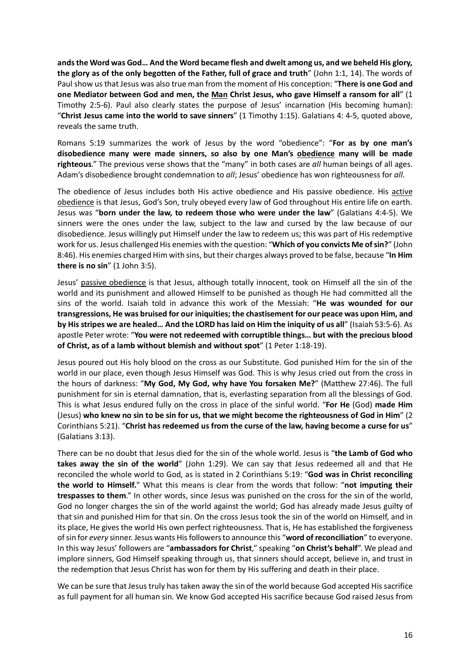**andsthe Word was God… And the Word became flesh and dwelt among us, and we beheld His glory, the glory as of the only begotten of the Father, full of grace and truth**" (John 1:1, 14). The words of Paul show us that Jesus was also true man from the moment of His conception: "**There is one God and one Mediator between God and men, the Man Christ Jesus, who gave Himself a ransom for all**" (1 Timothy 2:5-6). Paul also clearly states the purpose of Jesus' incarnation (His becoming human): "**Christ Jesus came into the world to save sinners**" (1 Timothy 1:15). Galatians 4: 4-5, quoted above, reveals the same truth.

Romans 5:19 summarizes the work of Jesus by the word "obedience": "**For as by one man's disobedience many were made sinners, so also by one Man's obedience many will be made righteous**." The previous verse shows that the "many" in both cases are *all* human beings of all ages. Adam's disobedience brought condemnation to *all*; Jesus' obedience has won righteousness for *all*.

The obedience of Jesus includes both His active obedience and His passive obedience. His active obedience is that Jesus, God's Son, truly obeyed every law of God throughout His entire life on earth. Jesus was "**born under the law, to redeem those who were under the law**" (Galatians 4:4-5). We sinners were the ones under the law, subject to the law and cursed by the law because of our disobedience. Jesus willingly put Himself under the law to redeem us; this was part of His redemptive work for us. Jesus challenged His enemies with the question: "**Which of you convicts Me of sin?**" (John 8:46). His enemies charged Him with sins, but their charges always proved to be false, because "**In Him there is no sin**" (1 John 3:5).

Jesus' passive obedience is that Jesus, although totally innocent, took on Himself all the sin of the world and its punishment and allowed Himself to be punished as though He had committed all the sins of the world. Isaiah told in advance this work of the Messiah: "**He was wounded for our transgressions, He was bruised for our iniquities; the chastisement for our peace was upon Him, and by His stripes we are healed… And the LORD has laid on Him the iniquity of us all**" (Isaiah 53:5-6). As apostle Peter wrote: "**You were not redeemed with corruptible things… but with the precious blood of Christ, as of a lamb without blemish and without spot**" (1 Peter 1:18-19).

Jesus poured out His holy blood on the cross as our Substitute. God punished Him for the sin of the world in our place, even though Jesus Himself was God. This is why Jesus cried out from the cross in the hours of darkness: "**My God, My God, why have You forsaken Me?**" (Matthew 27:46). The full punishment for sin is eternal damnation, that is, everlasting separation from all the blessings of God. This is what Jesus endured fully on the cross in place of the sinful world. "**For He** (God) **made Him** (Jesus) **who knew no sin to be sin for us, that we might become the righteousness of God in Him**" (2 Corinthians 5:21). "**Christ has redeemed us from the curse of the law, having become a curse for us**" (Galatians 3:13).

There can be no doubt that Jesus died for the sin of the whole world. Jesus is "**the Lamb of God who takes away the sin of the world**" (John 1:29). We can say that Jesus redeemed all and that He reconciled the whole world to God, as is stated in 2 Corinthians 5:19: "**God was in Christ reconciling the world to Himself.**" What this means is clear from the words that follow: "**not imputing their trespasses to them**." In other words, since Jesus was punished on the cross for the sin of the world, God no longer charges the sin of the world against the world; God has already made Jesus guilty of that sin and punished Him for that sin. On the cross Jesus took the sin of the world on Himself, and in its place, He gives the world His own perfect righteousness. That is, He has established the forgiveness of sin for *every* sinner. Jesus wants His followers to announce this "**word of reconciliation**" to everyone. In this way Jesus' followers are "**ambassadors for Christ**," speaking "**on Christ's behalf**". We plead and implore sinners, God Himself speaking through us, that sinners should accept, believe in, and trust in the redemption that Jesus Christ has won for them by His suffering and death in their place.

We can be sure that Jesus truly has taken away the sin of the world because God accepted His sacrifice as full payment for all human sin. We know God accepted His sacrifice because God raised Jesus from